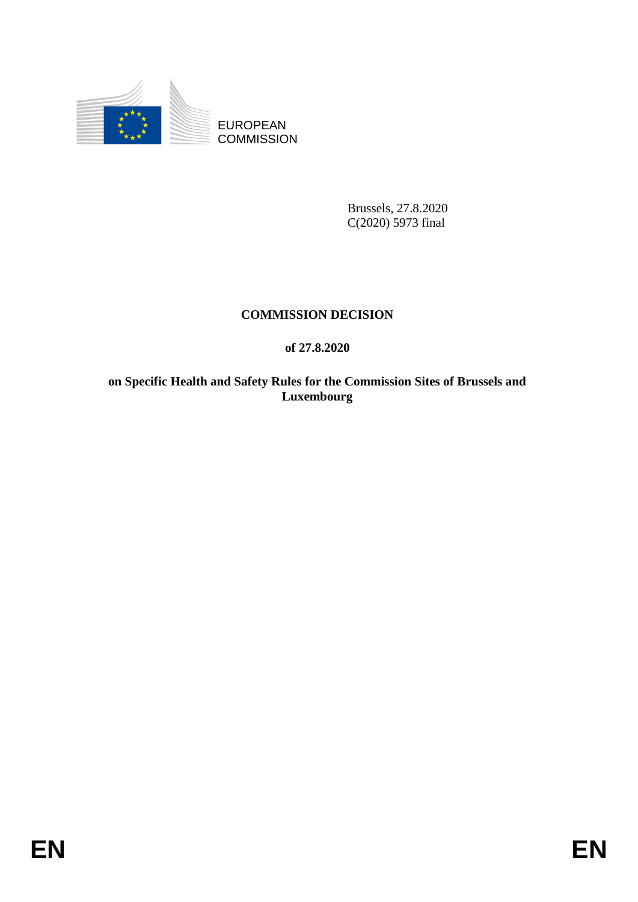

EUROPEAN **COMMISSION** 

> Brussels, 27.8.2020 C(2020) 5973 final

# **COMMISSION DECISION**

## **of 27.8.2020**

**on Specific Health and Safety Rules for the Commission Sites of Brussels and Luxembourg**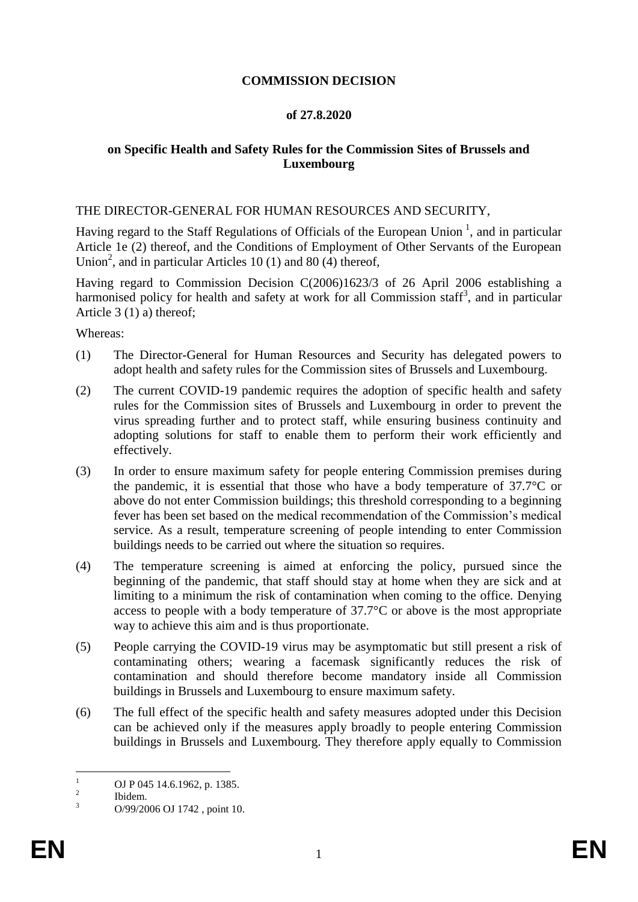### **COMMISSION DECISION**

### **of 27.8.2020**

### **on Specific Health and Safety Rules for the Commission Sites of Brussels and Luxembourg**

### THE DIRECTOR-GENERAL FOR HUMAN RESOURCES AND SECURITY,

Having regard to the Staff Regulations of Officials of the European Union<sup>1</sup>, and in particular Article 1e (2) thereof, and the Conditions of Employment of Other Servants of the European Union<sup>2</sup>, and in particular Articles 10 (1) and 80 (4) thereof,

Having regard to Commission Decision C(2006)1623/3 of 26 April 2006 establishing a harmonised policy for health and safety at work for all Commission staff<sup>3</sup>, and in particular Article 3 (1) a) thereof;

Whereas:

- (1) The Director-General for Human Resources and Security has delegated powers to adopt health and safety rules for the Commission sites of Brussels and Luxembourg.
- (2) The current COVID-19 pandemic requires the adoption of specific health and safety rules for the Commission sites of Brussels and Luxembourg in order to prevent the virus spreading further and to protect staff, while ensuring business continuity and adopting solutions for staff to enable them to perform their work efficiently and effectively.
- (3) In order to ensure maximum safety for people entering Commission premises during the pandemic, it is essential that those who have a body temperature of 37.7°C or above do not enter Commission buildings; this threshold corresponding to a beginning fever has been set based on the medical recommendation of the Commission's medical service. As a result, temperature screening of people intending to enter Commission buildings needs to be carried out where the situation so requires.
- (4) The temperature screening is aimed at enforcing the policy, pursued since the beginning of the pandemic, that staff should stay at home when they are sick and at limiting to a minimum the risk of contamination when coming to the office. Denying access to people with a body temperature of 37.7°C or above is the most appropriate way to achieve this aim and is thus proportionate.
- (5) People carrying the COVID-19 virus may be asymptomatic but still present a risk of contaminating others; wearing a facemask significantly reduces the risk of contamination and should therefore become mandatory inside all Commission buildings in Brussels and Luxembourg to ensure maximum safety.
- (6) The full effect of the specific health and safety measures adopted under this Decision can be achieved only if the measures apply broadly to people entering Commission buildings in Brussels and Luxembourg. They therefore apply equally to Commission

 $\mathbf{1}$ OJ P 045 14.6.1962, p. 1385.

 $\overline{2}$ Ibidem.

 $3 \qquad O/99/2006 \text{ OJ } 1742$ , point 10.